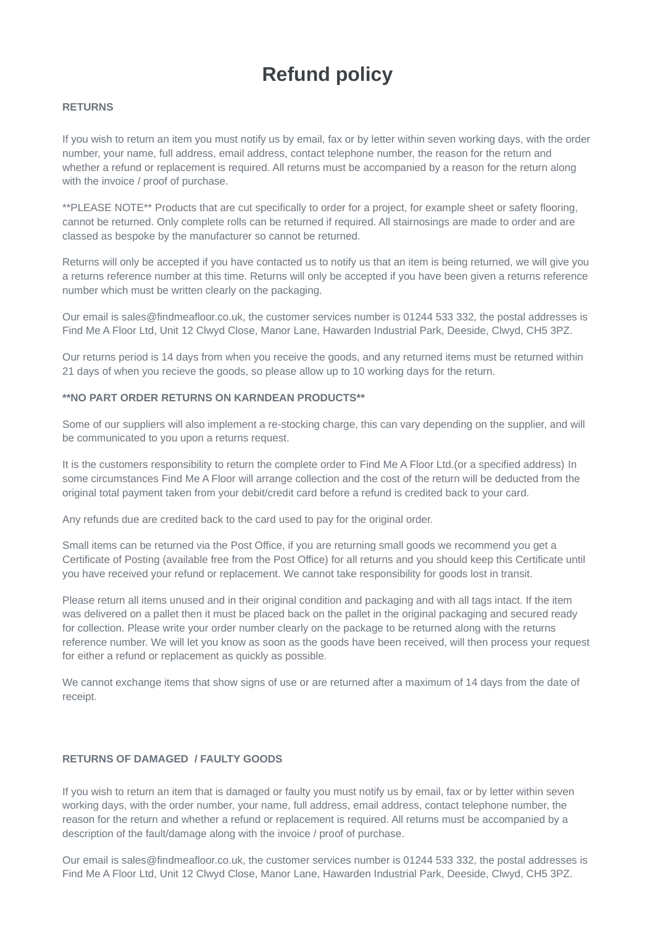# **Refund policy**

### **RETURNS**

If you wish to return an item you must notify us by email, fax or by letter within seven working days, with the order number, your name, full address, email address, contact telephone number, the reason for the return and whether a refund or replacement is required. All returns must be accompanied by a reason for the return along with the invoice / proof of purchase.

\*\*PLEASE NOTE\*\* Products that are cut specifically to order for a project, for example sheet or safety flooring, cannot be returned. Only complete rolls can be returned if required. All stairnosings are made to order and are classed as bespoke by the manufacturer so cannot be returned.

Returns will only be accepted if you have contacted us to notify us that an item is being returned, we will give you a returns reference number at this time. Returns will only be accepted if you have been given a returns reference number which must be written clearly on the packaging.

Our email is sales@findmeafloor.co.uk, the customer services number is 01244 533 332, the postal addresses is Find Me A Floor Ltd, Unit 12 Clwyd Close, Manor Lane, Hawarden Industrial Park, Deeside, Clwyd, CH5 3PZ.

Our returns period is 14 days from when you receive the goods, and any returned items must be returned within 21 days of when you recieve the goods, so please allow up to 10 working days for the return.

### **\*\*NO PART ORDER RETURNS ON KARNDEAN PRODUCTS\*\***

Some of our suppliers will also implement a re-stocking charge, this can vary depending on the supplier, and will be communicated to you upon a returns request.

It is the customers responsibility to return the complete order to Find Me A Floor Ltd.(or a specified address) In some circumstances Find Me A Floor will arrange collection and the cost of the return will be deducted from the original total payment taken from your debit/credit card before a refund is credited back to your card.

Any refunds due are credited back to the card used to pay for the original order.

Small items can be returned via the Post Office, if you are returning small goods we recommend you get a Certificate of Posting (available free from the Post Office) for all returns and you should keep this Certificate until you have received your refund or replacement. We cannot take responsibility for goods lost in transit.

Please return all items unused and in their original condition and packaging and with all tags intact. If the item was delivered on a pallet then it must be placed back on the pallet in the original packaging and secured ready for collection. Please write your order number clearly on the package to be returned along with the returns reference number. We will let you know as soon as the goods have been received, will then process your request for either a refund or replacement as quickly as possible.

We cannot exchange items that show signs of use or are returned after a maximum of 14 days from the date of receipt.

### **RETURNS OF DAMAGED / FAULTY GOODS**

If you wish to return an item that is damaged or faulty you must notify us by email, fax or by letter within seven working days, with the order number, your name, full address, email address, contact telephone number, the reason for the return and whether a refund or replacement is required. All returns must be accompanied by a description of the fault/damage along with the invoice / proof of purchase.

Our email is sales@findmeafloor.co.uk, the customer services number is 01244 533 332, the postal addresses is Find Me A Floor Ltd, Unit 12 Clwyd Close, Manor Lane, Hawarden Industrial Park, Deeside, Clwyd, CH5 3PZ.